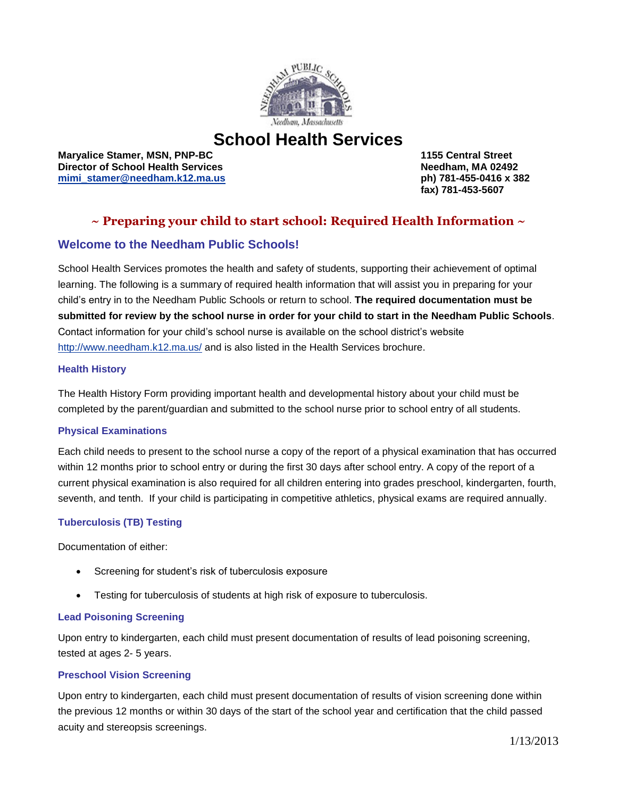

# **School Health Services**

**Maryalice Stamer, MSN, PNP-BC 1155 Central Street Director of School Health Services [mimi\\_stamer@needham.k12.ma.us](mailto:mimi_stamer@needham.k12.ma.us) ph) 781-455-0416 x 382**

 **fax) 781-453-5607**

# **~ Preparing your child to start school: Required Health Information ~**

### **Welcome to the Needham Public Schools!**

School Health Services promotes the health and safety of students, supporting their achievement of optimal learning. The following is a summary of required health information that will assist you in preparing for your child's entry in to the Needham Public Schools or return to school. **The required documentation must be submitted for review by the school nurse in order for your child to start in the Needham Public Schools**. Contact information for your child's school nurse is available on the school district's website <http://www.needham.k12.ma.us/> and is also listed in the Health Services brochure.

#### **Health History**

The Health History Form providing important health and developmental history about your child must be completed by the parent/guardian and submitted to the school nurse prior to school entry of all students.

#### **Physical Examinations**

Each child needs to present to the school nurse a copy of the report of a physical examination that has occurred within 12 months prior to school entry or during the first 30 days after school entry. A copy of the report of a current physical examination is also required for all children entering into grades preschool, kindergarten, fourth, seventh, and tenth. If your child is participating in competitive athletics, physical exams are required annually.

### **Tuberculosis (TB) Testing**

Documentation of either:

- Screening for student's risk of tuberculosis exposure
- Testing for tuberculosis of students at high risk of exposure to tuberculosis.

#### **Lead Poisoning Screening**

Upon entry to kindergarten, each child must present documentation of results of lead poisoning screening, tested at ages 2- 5 years.

#### **Preschool Vision Screening**

Upon entry to kindergarten, each child must present documentation of results of vision screening done within the previous 12 months or within 30 days of the start of the school year and certification that the child passed acuity and stereopsis screenings.